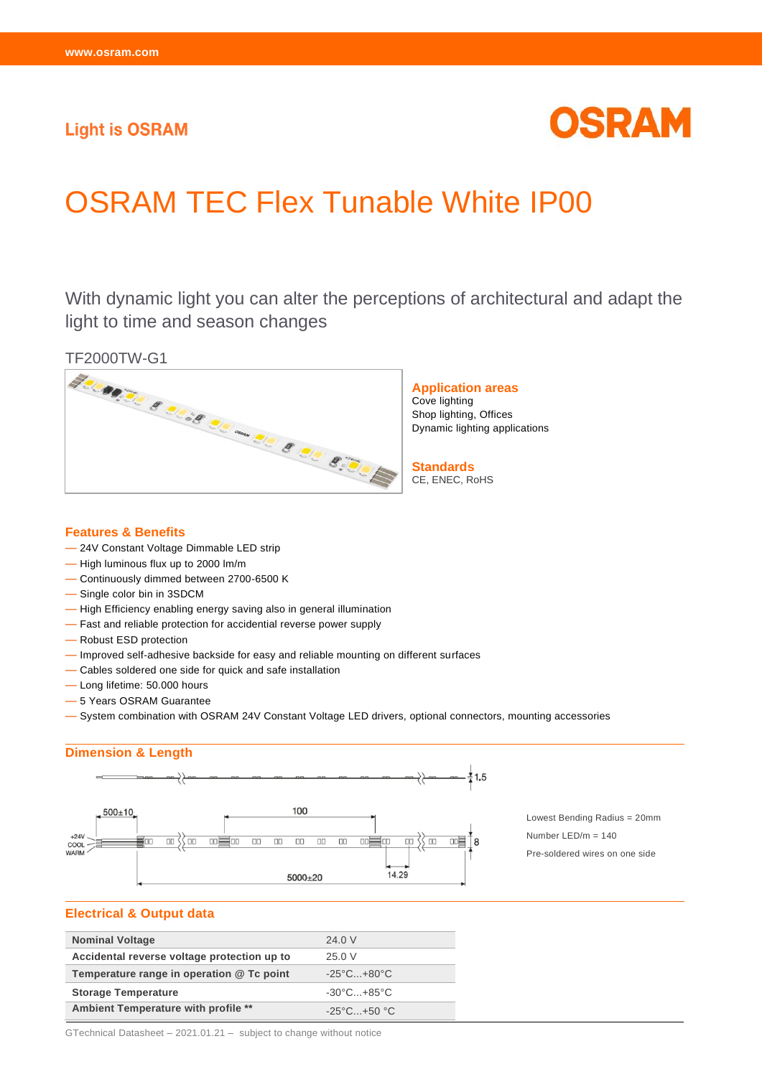# **Light is OSRAM**



# OSRAM TEC Flex Tunable White IP00

With dynamic light you can alter the perceptions of architectural and adapt the light to time and season changes



### **Application areas**

Cove lighting Shop lighting, Offices Dynamic lighting applications

**Standards** CE, ENEC, RoHS

#### **Features & Benefits**

- 24V Constant Voltage Dimmable LED strip
- High luminous flux up to 2000 lm/m
- Continuously dimmed between 2700-6500 K
- Single color bin in 3SDCM
- High Efficiency enabling energy saving also in general illumination
- Fast and reliable protection for accidential reverse power supply
- Robust ESD protection
- Improved self-adhesive backside for easy and reliable mounting on different surfaces
- Cables soldered one side for quick and safe installation
- Long lifetime: 50.000 hours
- 5 Years OSRAM Guarantee
- System combination with OSRAM 24V Constant Voltage LED drivers, optional connectors, mounting accessories

# **Dimension & Length**



Lowest Bending Radius = 20mm Number LED/m = 140 Pre-soldered wires on one side

#### **Electrical & Output data**

| <b>Nominal Voltage</b>                      | 24.0 V                            |
|---------------------------------------------|-----------------------------------|
| Accidental reverse voltage protection up to | 25.0 V                            |
| Temperature range in operation @ Tc point   | $-25^{\circ}$ C +80 $^{\circ}$ C  |
| <b>Storage Temperature</b>                  | $-30^{\circ}$ C. $+85^{\circ}$ C. |
| Ambient Temperature with profile **         | $-25^{\circ}$ C $+50^{\circ}$ C   |

GTechnical Datasheet – 2021.01.21 – subject to change without notice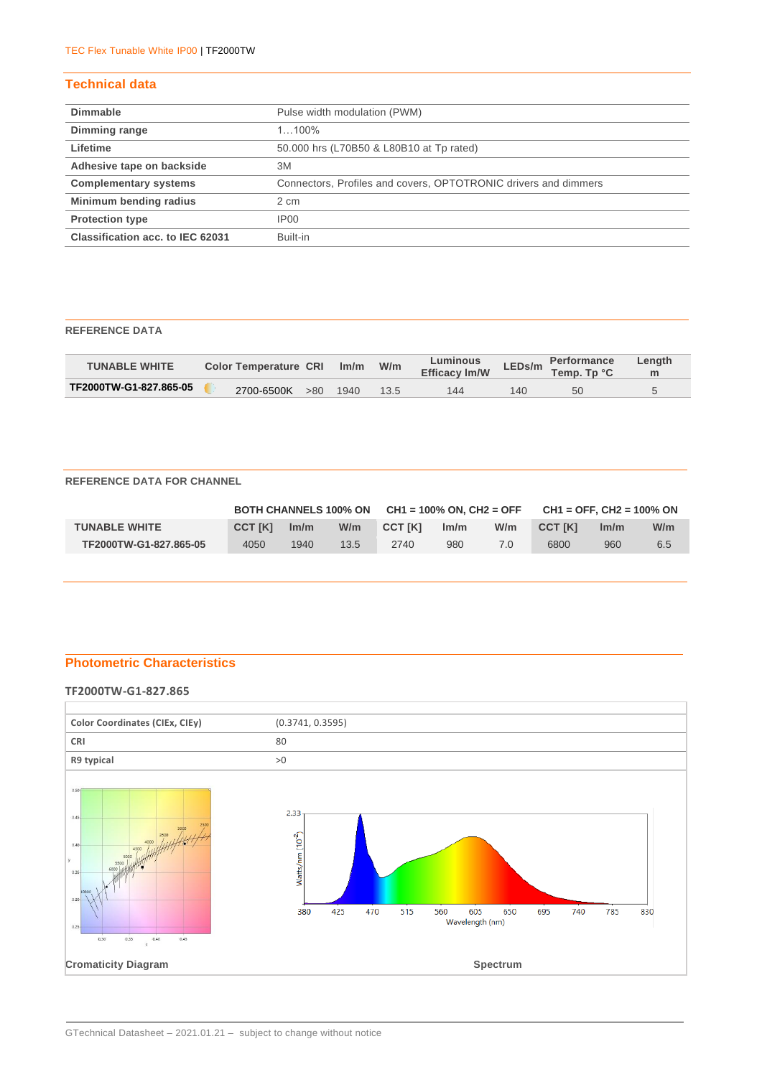### **Technical data**

| <b>Dimmable</b>                         | Pulse width modulation (PWM)                                    |
|-----------------------------------------|-----------------------------------------------------------------|
| Dimming range                           | $1100\%$                                                        |
| Lifetime                                | 50.000 hrs (L70B50 & L80B10 at Tp rated)                        |
| Adhesive tape on backside               | 3M                                                              |
| <b>Complementary systems</b>            | Connectors, Profiles and covers, OPTOTRONIC drivers and dimmers |
| Minimum bending radius                  | 2 cm                                                            |
| <b>Protection type</b>                  | IP00                                                            |
| <b>Classification acc. to IEC 62031</b> | Built-in                                                        |

#### **REFERENCE DATA**

|  | Im/m                                           | W/m | Efficacy Im/W |     |    | m |                                                         |
|--|------------------------------------------------|-----|---------------|-----|----|---|---------------------------------------------------------|
|  | 1940                                           | 135 | 144           | 140 | 50 |   |                                                         |
|  | <b>Color Temperature CRI</b><br>2700-6500K >80 |     |               |     |    |   | LEDs/m Performance<br>Temp. Tp °C<br>Luminous<br>Lenath |

#### **REFERENCE DATA FOR CHANNEL**

|                        |                |      |      | BOTH CHANNELS 100% ON $CH1 = 100%$ ON, CH2 = OFF |      |     | $CH1 = OFF. CH2 = 100\%$ ON |      |     |
|------------------------|----------------|------|------|--------------------------------------------------|------|-----|-----------------------------|------|-----|
| <b>TUNABLE WHITE</b>   | <b>CCT IKI</b> | Im/m | W/m  | <b>CCT IKI</b>                                   | Im/m | W/m | <b>CCT IK1</b>              | Im/m | W/m |
| TF2000TW-G1-827.865-05 | 4050           | 1940 | 13.5 | 2740                                             | 980  |     | 6800                        | 960  | 6.5 |

### **Photometric Characteristics**

#### **TF2000TW-G1-827.865**



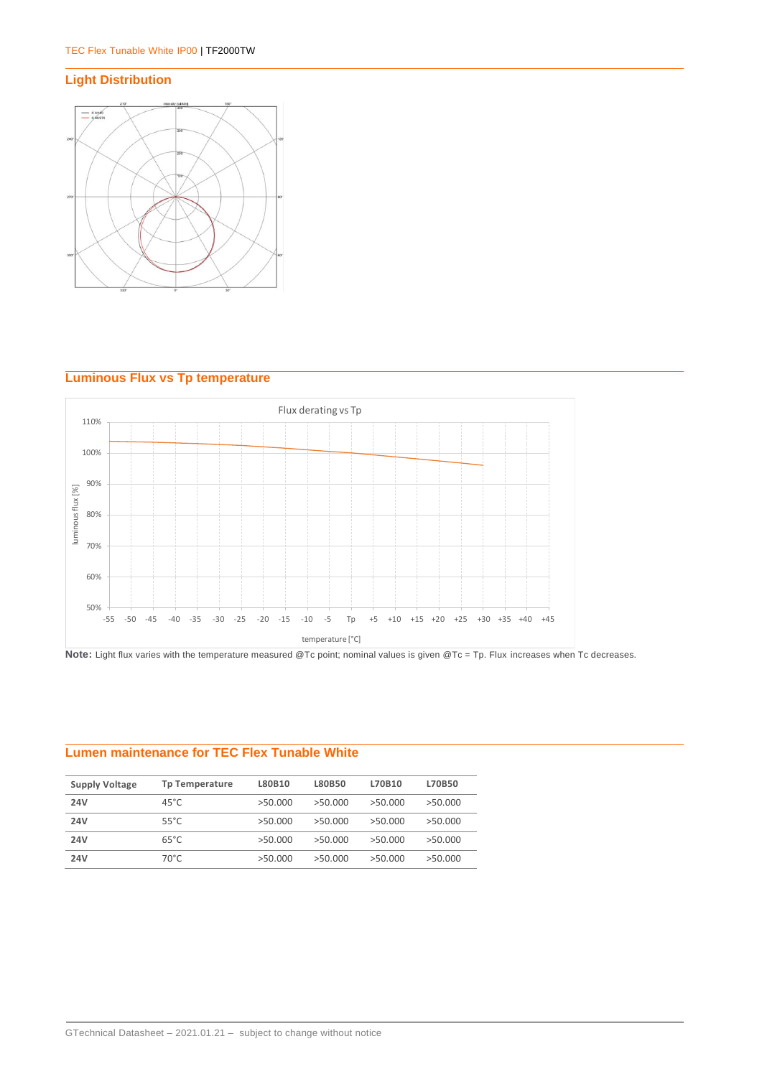# **Light Distribution**



#### **Luminous Flux vs Tp temperature**



**Note:** Light flux varies with the temperature measured @Tc point; nominal values is given @Tc = Tp. Flux increases when Tc decreases.

# **Lumen maintenance for TEC Flex Tunable White**

| <b>Supply Voltage</b> | <b>Tp Temperature</b> | L80B10  | L80B50  | L70B10  | L70B50  |
|-----------------------|-----------------------|---------|---------|---------|---------|
| 24V                   | 45°C                  | >50.000 | >50.000 | >50.000 | >50.000 |
| 24V                   | 55°C                  | >50.000 | >50.000 | >50.000 | >50.000 |
| 24V                   | $65^{\circ}$ C        | >50.000 | >50.000 | >50.000 | >50.000 |
| 24V                   | 70°C                  | >50.000 | >50.000 | >50.000 | >50.000 |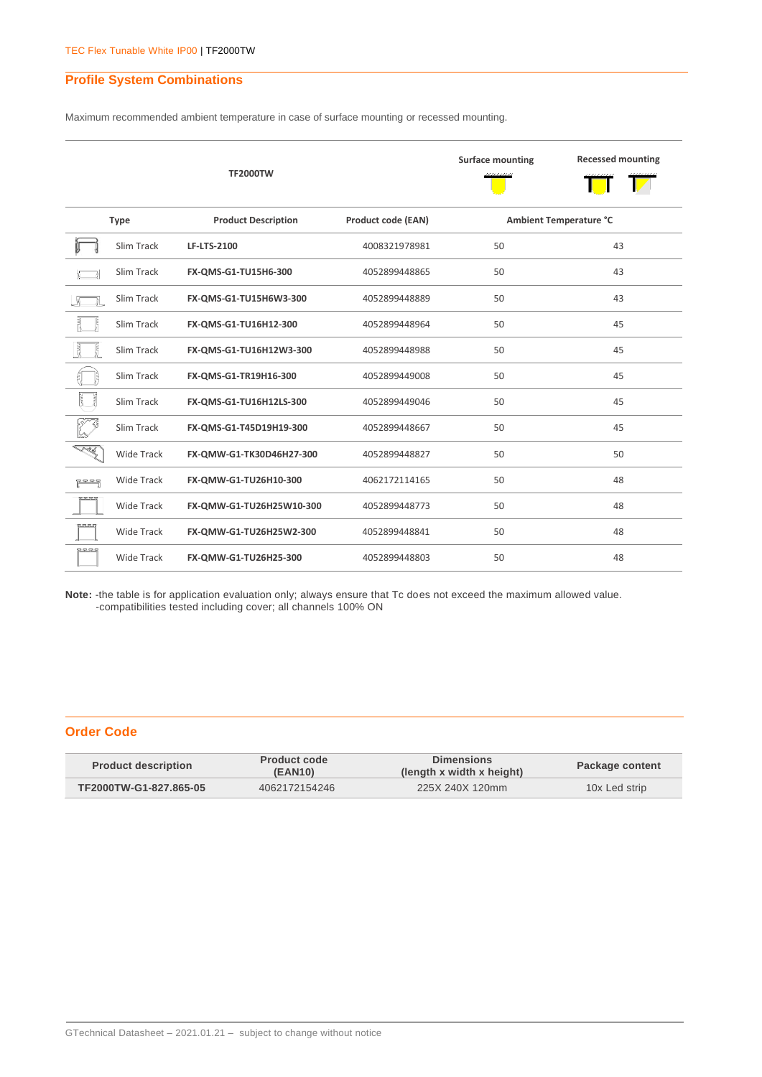# **Profile System Combinations**

Maximum recommended ambient temperature in case of surface mounting or recessed mounting.

|                  |                   | <b>TF2000TW</b>            | <b>Surface mounting</b>   | <b>Recessed mounting</b> |                        |
|------------------|-------------------|----------------------------|---------------------------|--------------------------|------------------------|
|                  | <b>Type</b>       | <b>Product Description</b> | <b>Product code (EAN)</b> |                          | Ambient Temperature °C |
|                  | Slim Track        | <b>LF-LTS-2100</b>         | 4008321978981             | 50                       | 43                     |
|                  | Slim Track        | FX-QMS-G1-TU15H6-300       | 4052899448865             | 50                       | 43                     |
|                  | Slim Track        | FX-QMS-G1-TU15H6W3-300     | 4052899448889             | 50                       | 43                     |
|                  | Slim Track        | FX-QMS-G1-TU16H12-300      | 4052899448964             | 50                       | 45                     |
| Ę                | Slim Track        | FX-QMS-G1-TU16H12W3-300    | 4052899448988             | 50                       | 45                     |
|                  | Slim Track        | FX-QMS-G1-TR19H16-300      | 4052899449008             | 50                       | 45                     |
|                  | Slim Track        | FX-QMS-G1-TU16H12LS-300    | 4052899449046             | 50                       | 45                     |
|                  | Slim Track        | FX-QMS-G1-T45D19H19-300    | 4052899448667             | 50                       | 45                     |
| TÉ L             | Wide Track        | FX-QMW-G1-TK30D46H27-300   | 4052899448827             | 50                       | 50                     |
| ې د د د          | Wide Track        | FX-QMW-G1-TU26H10-300      | 4062172114165             | 50                       | 48                     |
| 52525            | <b>Wide Track</b> | FX-QMW-G1-TU26H25W10-300   | 4052899448773             | 50                       | 48                     |
|                  | Wide Track        | FX-QMW-G1-TU26H25W2-300    | 4052899448841             | 50                       | 48                     |
| <u>a se se s</u> | <b>Wide Track</b> | FX-QMW-G1-TU26H25-300      | 4052899448803             | 50                       | 48                     |

**Note:** -the table is for application evaluation only; always ensure that Tc does not exceed the maximum allowed value. -compatibilities tested including cover; all channels 100% ON

#### **Order Code**

| <b>Product description</b> | <b>Product code</b><br>(EAN10) | <b>Dimensions</b><br>(length x width x height) | Package content |
|----------------------------|--------------------------------|------------------------------------------------|-----------------|
| TF2000TW-G1-827.865-05     | 4062172154246                  | 225X 240X 120mm                                | 10x Led strip   |